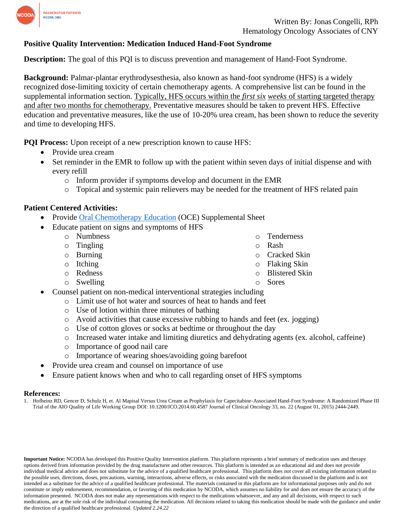

## **Positive Quality Intervention: Medication Induced Hand-Foot Syndrome**

**Description:** The goal of this PQI is to discuss prevention and management of Hand-Foot Syndrome.

**Background:** Palmar-plantar erythrodysesthesia, also known as hand-foot syndrome (HFS) is a widely recognized dose-limiting toxicity of certain chemotherapy agents. A comprehensive list can be found in the supplemental information section. Typically, HFS occurs within the *first six weeks* of starting targeted therapy and after two months for chemotherapy. Preventative measures should be taken to prevent HFS. Effective education and preventative measures, like the use of 10-20% urea cream, has been shown to reduce the severity and time to developing HFS.

**PQI Process:** Upon receipt of a new prescription known to cause HFS:

- Provide urea cream
- Set reminder in the EMR to follow up with the patient within seven days of initial dispense and with every refill
	- o Inform provider if symptoms develop and document in the EMR
	- o Topical and systemic pain relievers may be needed for the treatment of HFS related pain

### **Patient Centered Activities:**

- Provide [Oral Chemotherapy Education](https://www.ncoda.org/wp-content/uploads/2021/06/handfootreaction_supplemental.pdf) (OCE) Supplemental Sheet
- Educate patient on signs and symptoms of HFS
	- o Numbness
	- o Tingling
	- o Burning
	- o Itching
	- o Redness
	- o Swelling
- o Tenderness
- o Rash
- o Cracked Skin
- o Flaking Skin
- o Blistered Skin
- **Sores**
- Counsel patient on non-medical interventional strategies including
	- o Limit use of hot water and sources of heat to hands and feet
	- o Use of lotion within three minutes of bathing
	- o Avoid activities that cause excessive rubbing to hands and feet (ex. jogging)
	- o Use of cotton gloves or socks at bedtime or throughout the day
	- o Increased water intake and limiting diuretics and dehydrating agents (ex. alcohol, caffeine)
	- o Importance of good nail care
	- o Importance of wearing shoes/avoiding going barefoot
- Provide urea cream and counsel on importance of use
- Ensure patient knows when and who to call regarding onset of HFS symptoms

### **References:**

1. Hofheinz RD, Gencer D, Schulz H, et. Al Mapisal Versus Urea Cream as Prophylaxis for Capecitabine-Associated Hand-Foot Syndrome: A Randomized Phase III Trial of the AIO Quality of Life Working Group DOI: 10.1200/JCO.2014.60.4587 Journal of Clinical Oncology 33, no. 22 (August 01, 2015) 2444-2449.

**Important Notice:** NCODA has developed this Positive Quality Intervention platform. This platform represents a brief summary of medication uses and therapy options derived from information provided by the drug manufacturer and other resources. This platform is intended as an educational aid and does not provide individual medical advice and does not substitute for the advice of a qualified healthcare professional. This platform does not cover all existing information related to the possible uses, directions, doses, precautions, warning, interactions, adverse effects, or risks associated with the medication discussed in the platform and is not intended as a substitute for the advice of a qualified healthcare professional. The materials contained in this platform are for informational purposes only and do not constitute or imply endorsement, recommendation, or favoring of this medication by NCODA, which assumes no liability for and does not ensure the accuracy of the information presented. NCODA does not make any representations with respect to the medications whatsoever, and any and all decisions, with respect to such medications, are at the sole risk of the individual consuming the medication. All decisions related to taking this medication should be made with the guidance and under the direction of a qualified healthcare professional. *Updated 2.24.22*